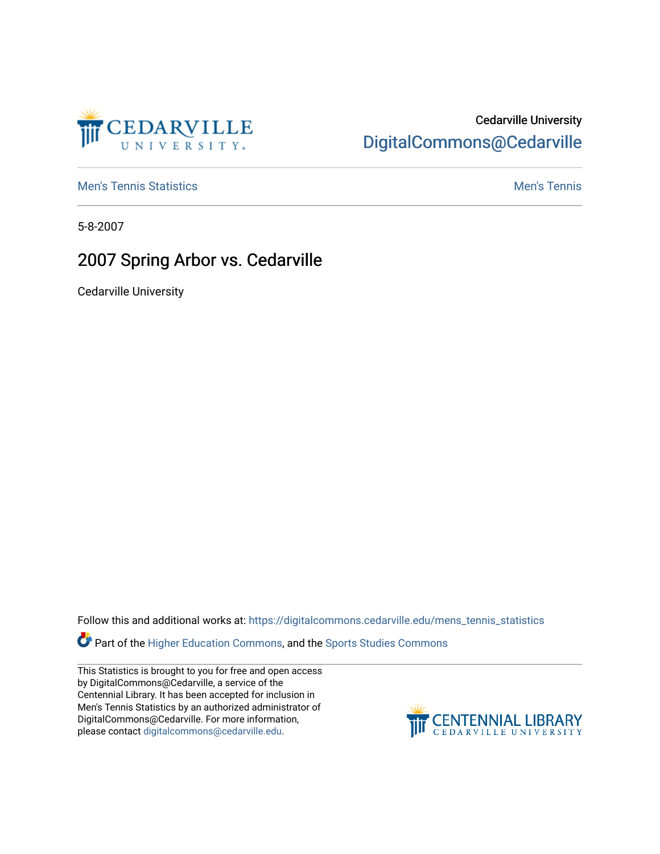

# Cedarville University [DigitalCommons@Cedarville](https://digitalcommons.cedarville.edu/)

**[Men's Tennis Statistics](https://digitalcommons.cedarville.edu/mens_tennis_statistics) Mental According to the Control of Control According Mental Men's Tennis** 

5-8-2007

# 2007 Spring Arbor vs. Cedarville

Cedarville University

Follow this and additional works at: [https://digitalcommons.cedarville.edu/mens\\_tennis\\_statistics](https://digitalcommons.cedarville.edu/mens_tennis_statistics?utm_source=digitalcommons.cedarville.edu%2Fmens_tennis_statistics%2F701&utm_medium=PDF&utm_campaign=PDFCoverPages)

**Part of the [Higher Education Commons,](http://network.bepress.com/hgg/discipline/1245?utm_source=digitalcommons.cedarville.edu%2Fmens_tennis_statistics%2F701&utm_medium=PDF&utm_campaign=PDFCoverPages) and the Sports Studies Commons** 

This Statistics is brought to you for free and open access by DigitalCommons@Cedarville, a service of the Centennial Library. It has been accepted for inclusion in Men's Tennis Statistics by an authorized administrator of DigitalCommons@Cedarville. For more information, please contact [digitalcommons@cedarville.edu](mailto:digitalcommons@cedarville.edu).